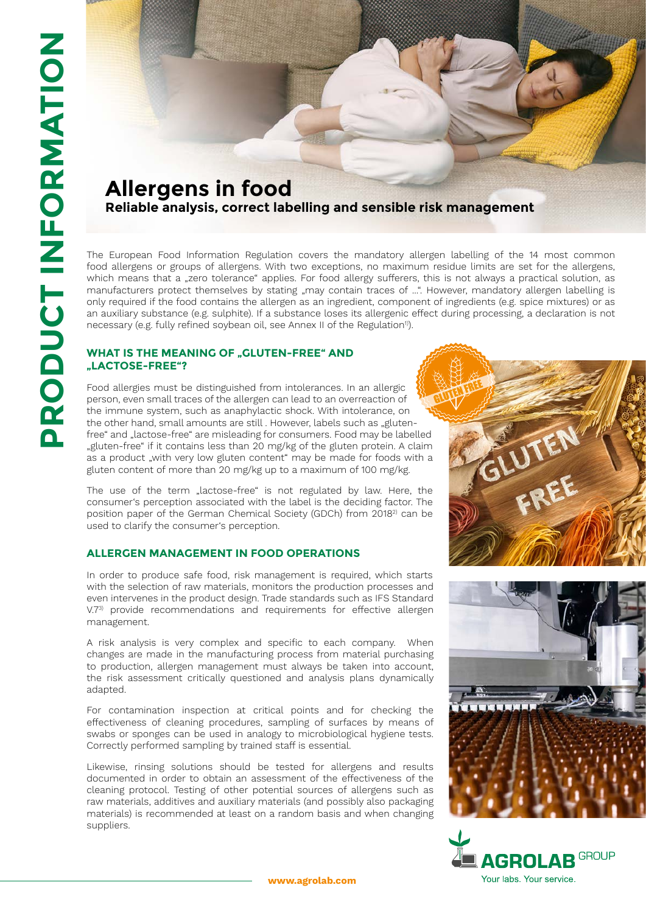# **Allergens in food Reliable analysis, correct labelling and sensible risk management**

The European Food Information Regulation covers the mandatory allergen labelling of the 14 most common food allergens or groups of allergens. With two exceptions, no maximum residue limits are set for the allergens, which means that a "zero tolerance" applies. For food allergy sufferers, this is not always a practical solution, as manufacturers protect themselves by stating "may contain traces of ...". However, mandatory allergen labelling is only required if the food contains the allergen as an ingredient, component of ingredients (e.g. spice mixtures) or as an auxiliary substance (e.g. sulphite). If a substance loses its allergenic effect during processing, a declaration is not necessary (e.g. fully refined soybean oil, see Annex II of the Regulation<sup>1)</sup>.

## **WHAT IS THE MEANING OF "GLUTEN-FREE" AND "LACTOSE-FREE"?**

Food allergies must be distinguished from intolerances. In an allergic person, even small traces of the allergen can lead to an overreaction of the immune system, such as anaphylactic shock. With intolerance, on the other hand, small amounts are still. However, labels such as "glutenfree" and "lactose-free" are misleading for consumers. Food may be labelled "gluten-free" if it contains less than 20 mg/kg of the gluten protein. A claim as a product "with very low gluten content" may be made for foods with a gluten content of more than 20 mg/kg up to a maximum of 100 mg/kg.

The use of the term "lactose-free" is not regulated by law. Here, the consumer's perception associated with the label is the deciding factor. The position paper of the German Chemical Society (GDCh) from 20182) can be used to clarify the consumer's perception.

#### **ALLERGEN MANAGEMENT IN FOOD OPERATIONS**

In order to produce safe food, risk management is required, which starts with the selection of raw materials, monitors the production processes and even intervenes in the product design. Trade standards such as IFS Standard V.73) provide recommendations and requirements for effective allergen management.

A risk analysis is very complex and specific to each company. When changes are made in the manufacturing process from material purchasing to production, allergen management must always be taken into account, the risk assessment critically questioned and analysis plans dynamically adapted.

For contamination inspection at critical points and for checking the effectiveness of cleaning procedures, sampling of surfaces by means of swabs or sponges can be used in analogy to microbiological hygiene tests. Correctly performed sampling by trained staff is essential.

Likewise, rinsing solutions should be tested for allergens and results documented in order to obtain an assessment of the effectiveness of the cleaning protocol. Testing of other potential sources of allergens such as raw materials, additives and auxiliary materials (and possibly also packaging materials) is recommended at least on a random basis and when changing suppliers.





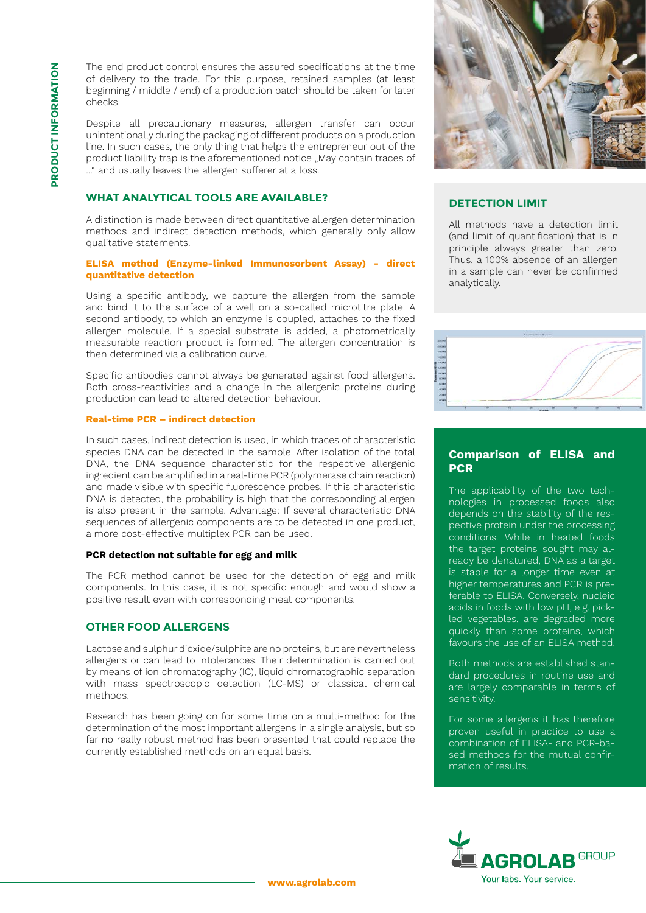The end product control ensures the assured specifications at the time of delivery to the trade. For this purpose, retained samples (at least beginning / middle / end) of a production batch should be taken for later checks.

Despite all precautionary measures, allergen transfer can occur unintentionally during the packaging of different products on a production line. In such cases, the only thing that helps the entrepreneur out of the product liability trap is the aforementioned notice "May contain traces of ..." and usually leaves the allergen sufferer at a loss.

# **WHAT ANALYTICAL TOOLS ARE AVAILABLE?**

A distinction is made between direct quantitative allergen determination methods and indirect detection methods, which generally only allow qualitative statements.

#### **ELISA method (Enzyme-linked Immunosorbent Assay) - direct quantitative detection**

Using a specific antibody, we capture the allergen from the sample and bind it to the surface of a well on a so-called microtitre plate. A second antibody, to which an enzyme is coupled, attaches to the fixed allergen molecule. If a special substrate is added, a photometrically measurable reaction product is formed. The allergen concentration is then determined via a calibration curve.

Specific antibodies cannot always be generated against food allergens. Both cross-reactivities and a change in the allergenic proteins during production can lead to altered detection behaviour.

#### **Real-time PCR – indirect detection**

In such cases, indirect detection is used, in which traces of characteristic species DNA can be detected in the sample. After isolation of the total DNA, the DNA sequence characteristic for the respective allergenic ingredient can be amplified in a real-time PCR (polymerase chain reaction) and made visible with specific fluorescence probes. If this characteristic DNA is detected, the probability is high that the corresponding allergen is also present in the sample. Advantage: If several characteristic DNA sequences of allergenic components are to be detected in one product, a more cost-effective multiplex PCR can be used.

#### **PCR detection not suitable for egg and milk**

The PCR method cannot be used for the detection of egg and milk components. In this case, it is not specific enough and would show a positive result even with corresponding meat components.

#### **OTHER FOOD ALLERGENS**

Lactose and sulphur dioxide/sulphite are no proteins, but are nevertheless allergens or can lead to intolerances. Their determination is carried out by means of ion chromatography (IC), liquid chromatographic separation with mass spectroscopic detection (LC-MS) or classical chemical methods.

Research has been going on for some time on a multi-method for the determination of the most important allergens in a single analysis, but so far no really robust method has been presented that could replace the currently established methods on an equal basis.



## **DETECTION LIMIT**

All methods have a detection limit (and limit of quantification) that is in principle always greater than zero. Thus, a 100% absence of an allergen in a sample can never be confirmed analytically.



# **Comparison of ELISA and PCR**

The applicability of the two technologies in processed foods also depends on the stability of the respective protein under the processing conditions. While in heated foods the target proteins sought may already be denatured, DNA as a target is stable for a longer time even at higher temperatures and PCR is preferable to ELISA. Conversely, nucleic acids in foods with low pH, e.g. pickled vegetables, are degraded more quickly than some proteins, which favours the use of an ELISA method.

Both methods are established standard procedures in routine use and are largely comparable in terms of sensitivity.

For some allergens it has therefore proven useful in practice to use a combination of FLISA- and PCR-based methods for the mutual confirmation of results.